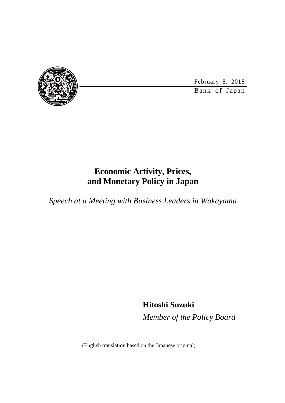

February 8, 2018

Bank of Japan

### **Economic Activity, Prices, and Monetary Policy in Japan**

*Speech at a Meeting with Business Leaders in Wakayama*

**Hitoshi Suzuki** *Member of the Policy Board*

(English translation based on the Japanese original)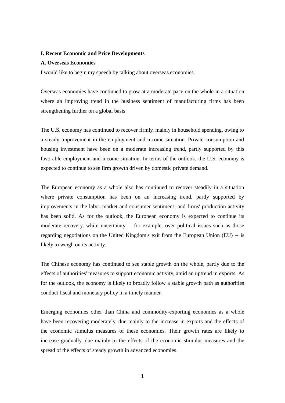#### **I. Recent Economic and Price Developments**

#### **A. Overseas Economies**

I would like to begin my speech by talking about overseas economies.

Overseas economies have continued to grow at a moderate pace on the whole in a situation where an improving trend in the business sentiment of manufacturing firms has been strengthening further on a global basis.

The U.S. economy has continued to recover firmly, mainly in household spending, owing to a steady improvement in the employment and income situation. Private consumption and housing investment have been on a moderate increasing trend, partly supported by this favorable employment and income situation. In terms of the outlook, the U.S. economy is expected to continue to see firm growth driven by domestic private demand.

The European economy as a whole also has continued to recover steadily in a situation where private consumption has been on an increasing trend, partly supported by improvements in the labor market and consumer sentiment, and firms' production activity has been solid. As for the outlook, the European economy is expected to continue its moderate recovery, while uncertainty -- for example, over political issues such as those regarding negotiations on the United Kingdom's exit from the European Union (EU) -- is likely to weigh on its activity.

The Chinese economy has continued to see stable growth on the whole, partly due to the effects of authorities' measures to support economic activity, amid an uptrend in exports. As for the outlook, the economy is likely to broadly follow a stable growth path as authorities conduct fiscal and monetary policy in a timely manner.

Emerging economies other than China and commodity-exporting economies as a whole have been recovering moderately, due mainly to the increase in exports and the effects of the economic stimulus measures of these economies. Their growth rates are likely to increase gradually, due mainly to the effects of the economic stimulus measures and the spread of the effects of steady growth in advanced economies.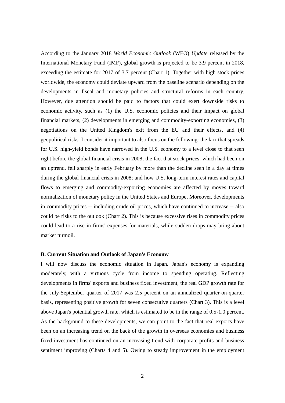According to the January 2018 *World Economic Outlook* (WEO) *Update* released by the International Monetary Fund (IMF), global growth is projected to be 3.9 percent in 2018, exceeding the estimate for 2017 of 3.7 percent (Chart 1). Together with high stock prices worldwide, the economy could deviate upward from the baseline scenario depending on the developments in fiscal and monetary policies and structural reforms in each country. However, due attention should be paid to factors that could exert downside risks to economic activity, such as (1) the U.S. economic policies and their impact on global financial markets, (2) developments in emerging and commodity-exporting economies, (3) negotiations on the United Kingdom's exit from the EU and their effects, and (4) geopolitical risks. I consider it important to also focus on the following: the fact that spreads for U.S. high-yield bonds have narrowed in the U.S. economy to a level close to that seen right before the global financial crisis in 2008; the fact that stock prices, which had been on an uptrend, fell sharply in early February by more than the decline seen in a day at times during the global financial crisis in 2008; and how U.S. long-term interest rates and capital flows to emerging and commodity-exporting economies are affected by moves toward normalization of monetary policy in the United States and Europe. Moreover, developments in commodity prices -- including crude oil prices, which have continued to increase -- also could be risks to the outlook (Chart 2). This is because excessive rises in commodity prices could lead to a rise in firms' expenses for materials, while sudden drops may bring about market turmoil.

#### **B. Current Situation and Outlook of Japan's Economy**

I will now discuss the economic situation in Japan. Japan's economy is expanding moderately, with a virtuous cycle from income to spending operating. Reflecting developments in firms' exports and business fixed investment, the real GDP growth rate for the July-September quarter of 2017 was 2.5 percent on an annualized quarter-on-quarter basis, representing positive growth for seven consecutive quarters (Chart 3). This is a level above Japan's potential growth rate, which is estimated to be in the range of 0.5-1.0 percent. As the background to these developments, we can point to the fact that real exports have been on an increasing trend on the back of the growth in overseas economies and business fixed investment has continued on an increasing trend with corporate profits and business sentiment improving (Charts 4 and 5). Owing to steady improvement in the employment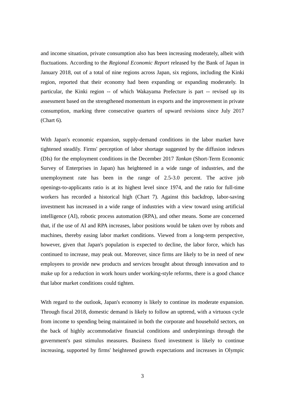and income situation, private consumption also has been increasing moderately, albeit with fluctuations. According to the *Regional Economic Report* released by the Bank of Japan in January 2018, out of a total of nine regions across Japan, six regions, including the Kinki region, reported that their economy had been expanding or expanding moderately. In particular, the Kinki region -- of which Wakayama Prefecture is part -- revised up its assessment based on the strengthened momentum in exports and the improvement in private consumption, marking three consecutive quarters of upward revisions since July 2017 (Chart 6).

With Japan's economic expansion, supply-demand conditions in the labor market have tightened steadily. Firms' perception of labor shortage suggested by the diffusion indexes (DIs) for the employment conditions in the December 2017 *Tankan* (Short-Term Economic Survey of Enterprises in Japan) has heightened in a wide range of industries, and the unemployment rate has been in the range of 2.5-3.0 percent. The active job openings-to-applicants ratio is at its highest level since 1974, and the ratio for full-time workers has recorded a historical high (Chart 7). Against this backdrop, labor-saving investment has increased in a wide range of industries with a view toward using artificial intelligence (AI), robotic process automation (RPA), and other means. Some are concerned that, if the use of AI and RPA increases, labor positions would be taken over by robots and machines, thereby easing labor market conditions. Viewed from a long-term perspective, however, given that Japan's population is expected to decline, the labor force, which has continued to increase, may peak out. Moreover, since firms are likely to be in need of new employees to provide new products and services brought about through innovation and to make up for a reduction in work hours under working-style reforms, there is a good chance that labor market conditions could tighten.

With regard to the outlook, Japan's economy is likely to continue its moderate expansion. Through fiscal 2018, domestic demand is likely to follow an uptrend, with a virtuous cycle from income to spending being maintained in both the corporate and household sectors, on the back of highly accommodative financial conditions and underpinnings through the government's past stimulus measures. Business fixed investment is likely to continue increasing, supported by firms' heightened growth expectations and increases in Olympic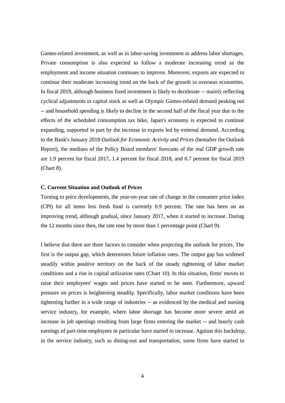Games-related investment, as well as in labor-saving investment to address labor shortages. Private consumption is also expected to follow a moderate increasing trend as the employment and income situation continues to improve. Moreover, exports are expected to continue their moderate increasing trend on the back of the growth in overseas economies. In fiscal 2019, although business fixed investment is likely to decelerate -- mainly reflecting cyclical adjustments in capital stock as well as Olympic Games-related demand peaking out -- and household spending is likely to decline in the second half of the fiscal year due to the effects of the scheduled consumption tax hike, Japan's economy is expected to continue expanding, supported in part by the increase in exports led by external demand. According to the Bank's January 2018 *Outlook for Economic Activity and Prices* (hereafter the Outlook Report), the medians of the Policy Board members' forecasts of the real GDP growth rate are 1.9 percent for fiscal 2017, 1.4 percent for fiscal 2018, and 0.7 percent for fiscal 2019 (Chart 8).

#### **C. Current Situation and Outlook of Prices**

Turning to price developments, the year-on-year rate of change in the consumer price index (CPI) for all items less fresh food is currently 0.9 percent. The rate has been on an improving trend, although gradual, since January 2017, when it started to increase. During the 12 months since then, the rate rose by more than 1 percentage point (Chart 9).

I believe that there are three factors to consider when projecting the outlook for prices. The first is the output gap, which determines future inflation rates. The output gap has widened steadily within positive territory on the back of the steady tightening of labor market conditions and a rise in capital utilization rates (Chart 10). In this situation, firms' moves to raise their employees' wages and prices have started to be seen. Furthermore, upward pressure on prices is heightening steadily. Specifically, labor market conditions have been tightening further in a wide range of industries -- as evidenced by the medical and nursing service industry, for example, where labor shortage has become more severe amid an increase in job openings resulting from large firms entering the market -- and hourly cash earnings of part-time employees in particular have started to increase. Against this backdrop, in the service industry, such as dining-out and transportation, some firms have started to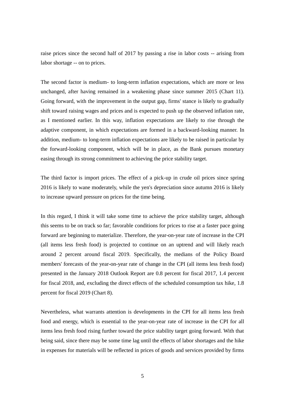raise prices since the second half of 2017 by passing a rise in labor costs -- arising from labor shortage -- on to prices.

The second factor is medium- to long-term inflation expectations, which are more or less unchanged, after having remained in a weakening phase since summer 2015 (Chart 11). Going forward, with the improvement in the output gap, firms' stance is likely to gradually shift toward raising wages and prices and is expected to push up the observed inflation rate, as I mentioned earlier. In this way, inflation expectations are likely to rise through the adaptive component, in which expectations are formed in a backward-looking manner. In addition, medium- to long-term inflation expectations are likely to be raised in particular by the forward-looking component, which will be in place, as the Bank pursues monetary easing through its strong commitment to achieving the price stability target.

The third factor is import prices. The effect of a pick-up in crude oil prices since spring 2016 is likely to wane moderately, while the yen's depreciation since autumn 2016 is likely to increase upward pressure on prices for the time being.

In this regard, I think it will take some time to achieve the price stability target, although this seems to be on track so far; favorable conditions for prices to rise at a faster pace going forward are beginning to materialize. Therefore, the year-on-year rate of increase in the CPI (all items less fresh food) is projected to continue on an uptrend and will likely reach around 2 percent around fiscal 2019. Specifically, the medians of the Policy Board members' forecasts of the year-on-year rate of change in the CPI (all items less fresh food) presented in the January 2018 Outlook Report are 0.8 percent for fiscal 2017, 1.4 percent for fiscal 2018, and, excluding the direct effects of the scheduled consumption tax hike, 1.8 percent for fiscal 2019 (Chart 8).

Nevertheless, what warrants attention is developments in the CPI for all items less fresh food and energy, which is essential to the year-on-year rate of increase in the CPI for all items less fresh food rising further toward the price stability target going forward. With that being said, since there may be some time lag until the effects of labor shortages and the hike in expenses for materials will be reflected in prices of goods and services provided by firms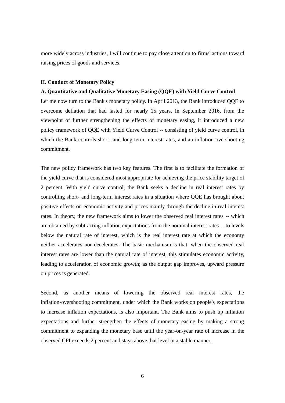more widely across industries, I will continue to pay close attention to firms' actions toward raising prices of goods and services.

#### **II. Conduct of Monetary Policy**

### **A. Quantitative and Qualitative Monetary Easing (QQE) with Yield Curve Control**

Let me now turn to the Bank's monetary policy. In April 2013, the Bank introduced QQE to overcome deflation that had lasted for nearly 15 years. In September 2016, from the viewpoint of further strengthening the effects of monetary easing, it introduced a new policy framework of QQE with Yield Curve Control -- consisting of yield curve control, in which the Bank controls short- and long-term interest rates, and an inflation-overshooting commitment.

The new policy framework has two key features. The first is to facilitate the formation of the yield curve that is considered most appropriate for achieving the price stability target of 2 percent. With yield curve control, the Bank seeks a decline in real interest rates by controlling short- and long-term interest rates in a situation where QQE has brought about positive effects on economic activity and prices mainly through the decline in real interest rates. In theory, the new framework aims to lower the observed real interest rates -- which are obtained by subtracting inflation expectations from the nominal interest rates -- to levels below the natural rate of interest, which is the real interest rate at which the economy neither accelerates nor decelerates. The basic mechanism is that, when the observed real interest rates are lower than the natural rate of interest, this stimulates economic activity, leading to acceleration of economic growth; as the output gap improves, upward pressure on prices is generated.

Second, as another means of lowering the observed real interest rates, the inflation-overshooting commitment, under which the Bank works on people's expectations to increase inflation expectations, is also important. The Bank aims to push up inflation expectations and further strengthen the effects of monetary easing by making a strong commitment to expanding the monetary base until the year-on-year rate of increase in the observed CPI exceeds 2 percent and stays above that level in a stable manner.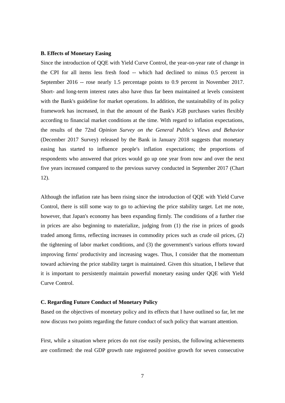#### **B. Effects of Monetary Easing**

Since the introduction of QQE with Yield Curve Control, the year-on-year rate of change in the CPI for all items less fresh food -- which had declined to minus 0.5 percent in September 2016 -- rose nearly 1.5 percentage points to 0.9 percent in November 2017. Short- and long-term interest rates also have thus far been maintained at levels consistent with the Bank's guideline for market operations. In addition, the sustainability of its policy framework has increased, in that the amount of the Bank's JGB purchases varies flexibly according to financial market conditions at the time. With regard to inflation expectations, the results of the 72nd *Opinion Survey on the General Public's Views and Behavior* (December 2017 Survey) released by the Bank in January 2018 suggests that monetary easing has started to influence people's inflation expectations; the proportions of respondents who answered that prices would go up one year from now and over the next five years increased compared to the previous survey conducted in September 2017 (Chart 12).

Although the inflation rate has been rising since the introduction of QQE with Yield Curve Control, there is still some way to go to achieving the price stability target. Let me note, however, that Japan's economy has been expanding firmly. The conditions of a further rise in prices are also beginning to materialize, judging from (1) the rise in prices of goods traded among firms, reflecting increases in commodity prices such as crude oil prices, (2) the tightening of labor market conditions, and (3) the government's various efforts toward improving firms' productivity and increasing wages. Thus, I consider that the momentum toward achieving the price stability target is maintained. Given this situation, I believe that it is important to persistently maintain powerful monetary easing under QQE with Yield Curve Control.

### **C. Regarding Future Conduct of Monetary Policy**

Based on the objectives of monetary policy and its effects that I have outlined so far, let me now discuss two points regarding the future conduct of such policy that warrant attention.

First, while a situation where prices do not rise easily persists, the following achievements are confirmed: the real GDP growth rate registered positive growth for seven consecutive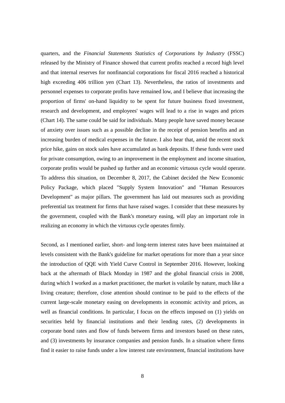quarters, and the *Financial Statements Statistics of Corporations by Industry* (FSSC) released by the Ministry of Finance showed that current profits reached a record high level and that internal reserves for nonfinancial corporations for fiscal 2016 reached a historical high exceeding 406 trillion yen (Chart 13). Nevertheless, the ratios of investments and personnel expenses to corporate profits have remained low, and I believe that increasing the proportion of firms' on-hand liquidity to be spent for future business fixed investment, research and development, and employees' wages will lead to a rise in wages and prices (Chart 14). The same could be said for individuals. Many people have saved money because of anxiety over issues such as a possible decline in the receipt of pension benefits and an increasing burden of medical expenses in the future. I also hear that, amid the recent stock price hike, gains on stock sales have accumulated as bank deposits. If these funds were used for private consumption, owing to an improvement in the employment and income situation, corporate profits would be pushed up further and an economic virtuous cycle would operate. To address this situation, on December 8, 2017, the Cabinet decided the New Economic Policy Package, which placed "Supply System Innovation" and "Human Resources Development" as major pillars. The government has laid out measures such as providing preferential tax treatment for firms that have raised wages. I consider that these measures by the government, coupled with the Bank's monetary easing, will play an important role in realizing an economy in which the virtuous cycle operates firmly.

Second, as I mentioned earlier, short- and long-term interest rates have been maintained at levels consistent with the Bank's guideline for market operations for more than a year since the introduction of QQE with Yield Curve Control in September 2016. However, looking back at the aftermath of Black Monday in 1987 and the global financial crisis in 2008, during which I worked as a market practitioner, the market is volatile by nature, much like a living creature; therefore, close attention should continue to be paid to the effects of the current large-scale monetary easing on developments in economic activity and prices, as well as financial conditions. In particular, I focus on the effects imposed on (1) yields on securities held by financial institutions and their lending rates, (2) developments in corporate bond rates and flow of funds between firms and investors based on these rates, and (3) investments by insurance companies and pension funds. In a situation where firms find it easier to raise funds under a low interest rate environment, financial institutions have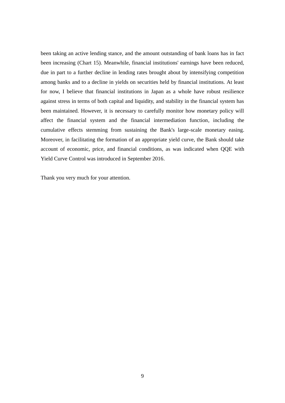been taking an active lending stance, and the amount outstanding of bank loans has in fact been increasing (Chart 15). Meanwhile, financial institutions' earnings have been reduced, due in part to a further decline in lending rates brought about by intensifying competition among banks and to a decline in yields on securities held by financial institutions. At least for now, I believe that financial institutions in Japan as a whole have robust resilience against stress in terms of both capital and liquidity, and stability in the financial system has been maintained. However, it is necessary to carefully monitor how monetary policy will affect the financial system and the financial intermediation function, including the cumulative effects stemming from sustaining the Bank's large-scale monetary easing. Moreover, in facilitating the formation of an appropriate yield curve, the Bank should take account of economic, price, and financial conditions, as was indicated when QQE with Yield Curve Control was introduced in September 2016.

Thank you very much for your attention.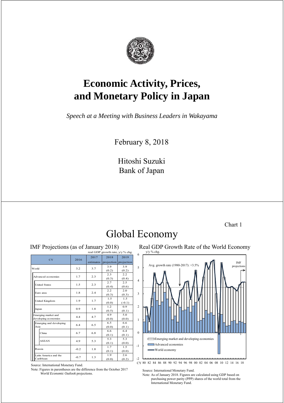

# **Economic Activity, Prices, and Monetary Policy in Japan**

*Speech at a Meeting with Business Leaders in Wakayama*

February 8, 2018

Hitoshi Suzuki Bank of Japan

Chart 1

# Global Economy

|                         | real GDP growth rate, y/y % chg. |           |       |                       |  |
|-------------------------|----------------------------------|-----------|-------|-----------------------|--|
| <b>CY</b>               | 2016                             | 2017      | 2018  | 2019                  |  |
|                         |                                  | estimates |       | projection projection |  |
| World                   | 3.2                              |           | 3.9   | 3.9                   |  |
|                         |                                  | 3.7       | (0.2) | (0.2)                 |  |
| Advanced economies      | 1.7                              | 2.3       | 2.3   | 2.2                   |  |
|                         |                                  |           | (0.3) | (0.4)                 |  |
| <b>United States</b>    | 1.5                              | 2.3       | 2.7   | 2.5                   |  |
|                         |                                  |           | (0.4) | (0.6)                 |  |
| Euro area               | 1.8                              | 2.4       | 2.2   | 2.0                   |  |
|                         |                                  |           | (0.3) | (0.3)                 |  |
| United Kingdom          | 1.9                              | 1.7       | 1.5   | 1.5                   |  |
|                         |                                  |           | (0.0) | $(-0.1)$              |  |
| Japan                   | 0.9                              | 1.8       | 12    | 0.9                   |  |
|                         |                                  |           | (0.5) | (0.1)                 |  |
| Emerging market and     | 44                               | 47        | 4.9   | 5.0                   |  |
| developing economies    |                                  |           | (0.0) | (0.0)                 |  |
| Emerging and developing | 64                               | 6.5       | 6.5   | 6.6                   |  |
| Asia                    |                                  |           | (0.0) | (0.1)                 |  |
| China                   | 6.7                              | 6.8       | 6.6   | 6.4                   |  |
|                         |                                  |           | (0.1) | (0.1)                 |  |
| <b>ASEAN</b>            | 49                               | 5.3       | 5.3   | 5.3                   |  |
|                         |                                  |           | (0.1) | (0.0)                 |  |
| Russia                  | $-0.2$                           | 1.8       | 17    | 1.5                   |  |
|                         |                                  |           | (0.1) | (0.0)                 |  |
| Latin America and the   | $-0.7$                           | 1.3       | 1.9   | 2.6                   |  |
| Caribbean               |                                  |           | (0.0) | (0.2)                 |  |

Source: International Monetary Fund.

Note: Figures in parentheses are the difference from the October 2017 *Figures* in parentheses are the difference from the October 2017 Source: International Monetary Fund.<br>*World Economic Outlook* projections. Source: As of January 2018. Figures are

IMF Projections (as of January 2018) Real GDP Growth Rate of the World Economy



Note: As of January 2018. Figures are calculated using GDP based on purchasing power parity (PPP) shares of the world total from the International Monetary Fund.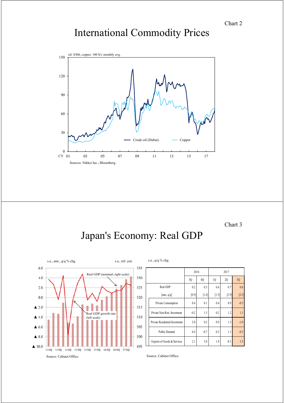# International Commodity Prices



Chart 3

# Japan's Economy: Real GDP



|                                | 2016   |         | 2017    |         |         |
|--------------------------------|--------|---------|---------|---------|---------|
|                                | 3Q     | 4Q      | 1Q      | 2Q      | 3Q      |
| Real GDP                       | 0.2    | 0.3     | 0.4     | 0.7     | 0.6     |
| [ann., q/q]                    | [0.9]  | $[1.4]$ | $[1.5]$ | $[2.9]$ | $[2.5]$ |
| Private Consumption            | 0.4    | 0.1     | 0.4     | 0.9     | $-0.5$  |
| Private Non-Resi. Investment   | $-0.2$ | 1.5     | 0.2     | 1.2     | 1.1     |
| Private Residential Investment | 3.0    | 0.2     | 0.9     | 1.3     | $-1.0$  |
| <b>Public Demand</b>           | 0.4    | $-0.7$  | 0.2     | 1.1     | $-0.5$  |
| Exports of Goods & Services    | 2.1    | 3.0     | 1.9     | $-0.1$  | 1.5     |

Source: Cabinet Office.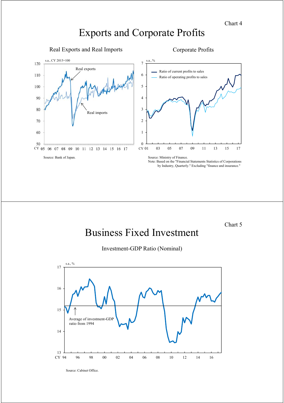## Exports and Corporate Profits



Chart 5

# Business Fixed Investment

Investment-GDP Ratio (Nominal)



Source: Cabinet Office.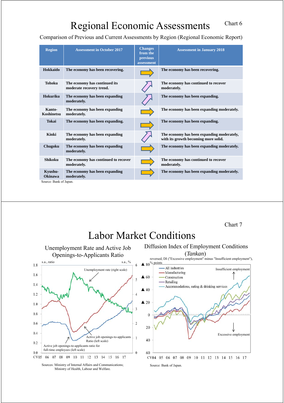# Regional Economic Assessments

Comparison of Previous and Current Assessments by Region (Regional Economic Report)

| <b>Region</b>             | <b>Assessment in October 2017</b>                         | <b>Changes</b><br>from the<br><i>previous</i><br>assessment | <b>Assessment in January 2018</b>                                                  |
|---------------------------|-----------------------------------------------------------|-------------------------------------------------------------|------------------------------------------------------------------------------------|
| Hokkaido                  | The economy has been recovering.                          |                                                             | The economy has been recovering.                                                   |
| <b>Tohoku</b>             | The economy has continued its<br>moderate recovery trend. |                                                             | The economy has continued to recover<br>moderately.                                |
| Hokuriku                  | The economy has been expanding<br>moderately.             |                                                             | The economy has been expanding.                                                    |
| Kanto-<br>Koshinetsu      | The economy has been expanding<br>moderately.             |                                                             | The economy has been expanding moderately.                                         |
| <b>Tokai</b>              | The economy has been expanding.                           |                                                             | The economy has been expanding.                                                    |
| Kinki                     | The economy has been expanding<br>moderately.             |                                                             | The economy has been expanding moderately,<br>with its growth becoming more solid. |
| Chugoku                   | The economy has been expanding<br>moderately.             |                                                             | The economy has been expanding moderately.                                         |
| Shikoku                   | The economy has continued to recover<br>moderately.       |                                                             | The economy has continued to recover<br>moderately.                                |
| Kyushu-<br><b>Okinawa</b> | The economy has been expanding<br>moderately.             |                                                             | The economy has been expanding moderately.                                         |
| Source: Bank of Japan.    |                                                           |                                                             |                                                                                    |

Chart 7

## Labor Market Conditions

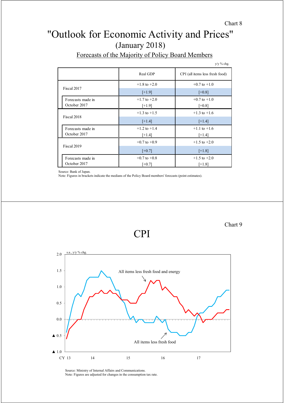Chart 8

### "Outlook for Economic Activity and Prices" (January 2018)

|                                   |                              | y/y % chg.                      |
|-----------------------------------|------------------------------|---------------------------------|
|                                   | Real GDP                     | CPI (all items less fresh food) |
| Fiscal 2017                       | $+1.8$ to $+2.0$             | $+0.7$ to $+1.0$                |
|                                   | $[+1.9]$                     | $[-0.8]$                        |
| Forecasts made in<br>October 2017 | $+1.7$ to $+2.0$<br>$[+1.9]$ | $+0.7$ to $+1.0$<br>$[-0.8]$    |
|                                   | $+1.3$ to $+1.5$             | $+1.3$ to $+1.6$                |
| Fiscal 2018                       | $[+1.4]$                     | $[+1.4]$                        |
| Forecasts made in<br>October 2017 | $+1.2$ to $+1.4$<br>$[-1.4]$ | $+1.1$ to $+1.6$<br>$[+1.4]$    |
|                                   | $+0.7$ to $+0.9$             | $+1.5$ to $+2.0$                |
| Fiscal 2019                       | $[-0.7]$                     | $[+1.8]$                        |
| Forecasts made in                 | $+0.7$ to $+0.8$             | $+1.5$ to $+2.0$                |
| October 2017                      | $[-0.7]$                     | $[+1.8]$                        |

### Forecasts of the Majority of Policy Board Members

Source: Bank of Japan.

Note: Figures in brackets indicate the medians of the Policy Board members' forecasts (point estimates).



CPI

Source: Ministry of Internal Affairs and Communications. Note: Figures are adjusted for changes in the consumption tax rate. Chart 9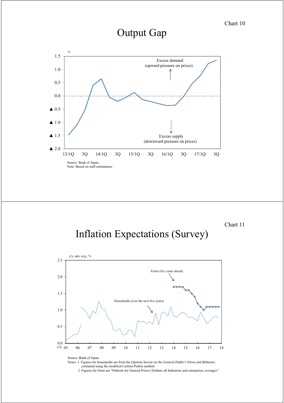### Output Gap

Source: Bank of Japan. Note: Based on staff estimations. ▲ 2.0 ▲ 1.5 ▲ 1.0 ▲ 0.5 0.0 0.5 1.0 1.5 13/1Q 3Q 14/1Q 3Q 15/1Q 3Q 16/1Q 3Q 17/1Q 3Q  $\mathbf{0}$ Excess demand (upward pressure on prices) Excess supply (downward pressure on prices)

Chart 11

# Inflation Expectations (Survey)



Source: Bank of Japan.

Notes: 1. Figures for households are from the *Opinion Survey on the General Public's Views and Behavior*, estimated using the modified Carlson-Parkin method.

2. Figures for firms are "Outlook for General Prices (*Tankan*, all Industries and enterprises, average)."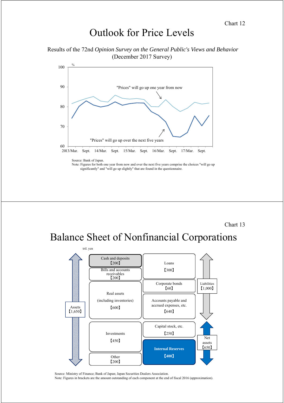### Outlook for Price Levels

Results of the 72nd *Opinion Survey on the General Public's Views and Behavior*  (December 2017 Survey)



Source: Bank of Japan.

Note: Figures for both one year from now and over the next five years comprise the choices "will go up significantly" and "will go up slightly" that are found in the questionnaire.

Chart 13

# Balance Sheet of Nonfinancial Corporations



Source: Ministry of Finance; Bank of Japan; Japan Securities Dealers Association.

Note: Figures in brackets are the amount outstanding of each component at the end of fiscal 2016 (approximation).